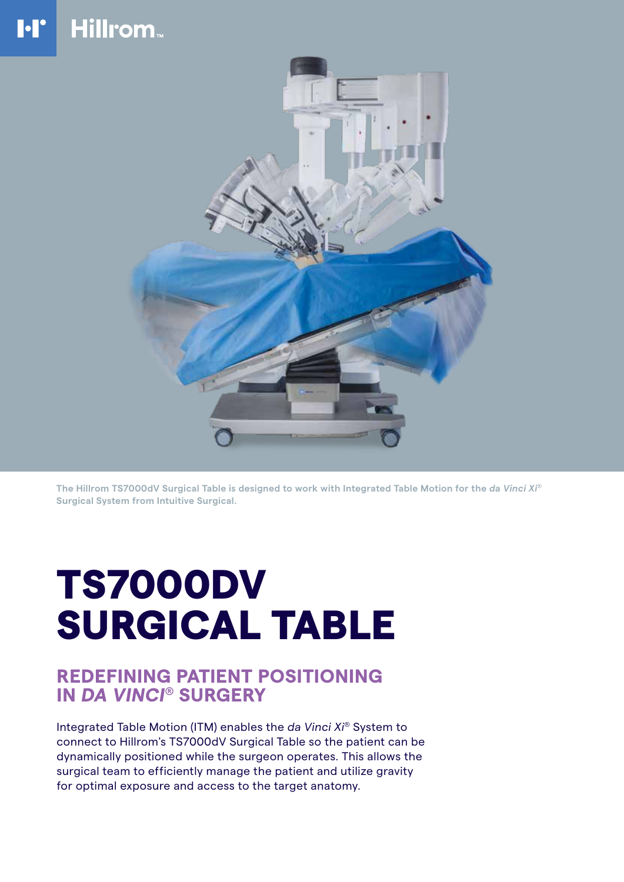### **Hillrom**  $\mathbf{F}$



**The Hillrom TS7000dV Surgical Table is designed to work with Integrated Table Motion for the** *da Vinci Xi®* **Surgical System from Intuitive Surgical.** 

# TS7000DV SURGICAL TABLE

## **REDEFINING PATIENT POSITIONING IN** *DA VINCI***® SURGERY**

Integrated Table Motion (ITM) enables the *da Vinci Xi®* System to connect to Hillrom's TS7000dV Surgical Table so the patient can be dynamically positioned while the surgeon operates. This allows the surgical team to efficiently manage the patient and utilize gravity for optimal exposure and access to the target anatomy.